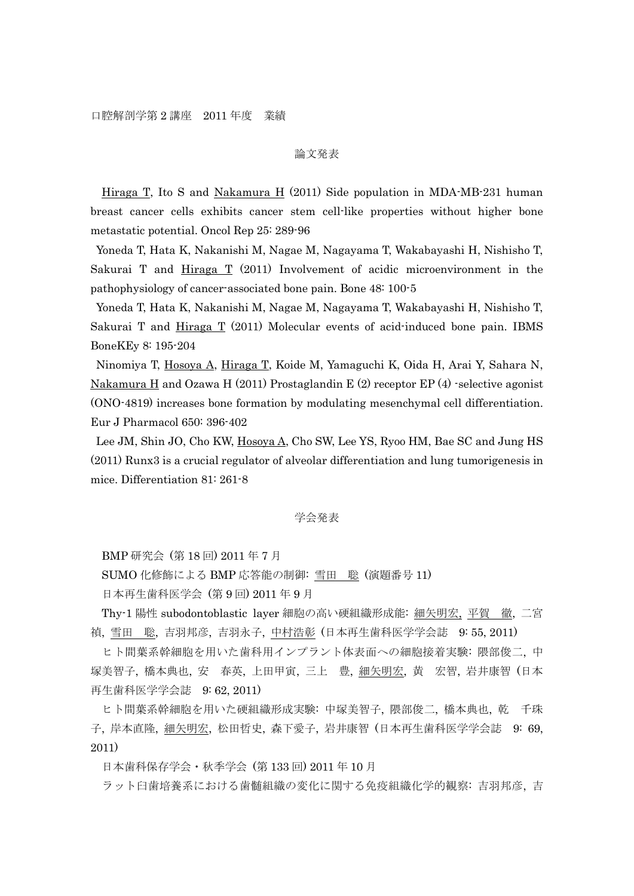## 論文発表

Hiraga T, Ito S and Nakamura H (2011) Side population in MDA-MB-231 human breast cancer cells exhibits cancer stem cell-like properties without higher bone metastatic potential. Oncol Rep 25: 289-96

Yoneda T, Hata K, Nakanishi M, Nagae M, Nagayama T, Wakabayashi H, Nishisho T, Sakurai T and Hiraga T (2011) Involvement of acidic microenvironment in the pathophysiology of cancer-associated bone pain. Bone 48: 100-5

Yoneda T, Hata K, Nakanishi M, Nagae M, Nagayama T, Wakabayashi H, Nishisho T, Sakurai T and Hiraga T (2011) Molecular events of acid-induced bone pain. IBMS BoneKEy 8: 195-204

Ninomiya T, Hosoya A, Hiraga T, Koide M, Yamaguchi K, Oida H, Arai Y, Sahara N, Nakamura H and Ozawa H (2011) Prostaglandin E (2) receptor EP (4) -selective agonist (ONO-4819) increases bone formation by modulating mesenchymal cell differentiation. Eur J Pharmacol 650: 396-402

Lee JM, Shin JO, Cho KW, Hosoya A, Cho SW, Lee YS, Ryoo HM, Bae SC and Jung HS (2011) Runx3 is a crucial regulator of alveolar differentiation and lung tumorigenesis in mice. Differentiation 81: 261-8

## 学会発表

BMP 研究会 (第 18 回) 2011 年 7 月

SUMO 化修飾による BMP 応答能の制御: 雪田 聡 (演題番号 11)

日本再生歯科医学会 (第 9 回) 2011 年 9 月

Thy-1 陽性 subodontoblastic layer 細胞の高い硬組織形成能: 細矢明宏, 平賀 徹, 二宮 禎, 雪田 聡, 吉羽邦彦, 吉羽永子, 中村浩彰 (日本再生歯科医学学会誌 9: 55, 2011)

ヒト間葉系幹細胞を用いた歯科用インプラント体表面への細胞接着実験: 隈部俊二, 中 塚美智子, 橋本典也, 安 春英, 上田甲寅, 三上 豊, 細矢明宏, 黄 宏智, 岩井康智 (日本 再生歯科医学学会誌 9: 62, 2011)

ヒト間葉系幹細胞を用いた硬組織形成実験: 中塚美智子, 隈部俊二, 橋本典也, 乾 千珠 子, 岸本直隆, 細矢明宏, 松田哲史, 森下愛子, 岩井康智 (日本再生歯科医学学会誌 9: 69, 2011)

日本歯科保存学会・秋季学会 (第 133 回) 2011 年 10 月

ラット臼歯培養系における歯髄組織の変化に関する免疫組織化学的観察: 吉羽邦彦, 吉